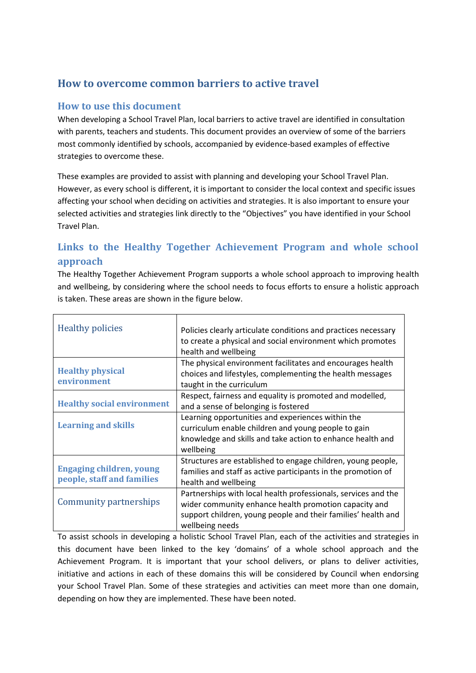# **How to overcome common barriers to active travel**

## **How to use this document**

When developing a School Travel Plan, local barriers to active travel are identified in consultation with parents, teachers and students. This document provides an overview of some of the barriers most commonly identified by schools, accompanied by evidence-based examples of effective strategies to overcome these.

These examples are provided to assist with planning and developing your School Travel Plan. However, as every school is different, it is important to consider the local context and specific issues affecting your school when deciding on activities and strategies. It is also important to ensure your selected activities and strategies link directly to the "Objectives" you have identified in your School Travel Plan.

# **Links to the Healthy Together Achievement Program and whole school approach**

The Healthy Together Achievement Program supports a whole school approach to improving health and wellbeing, by considering where the school needs to focus efforts to ensure a holistic approach is taken. These areas are shown in the figure below.

| <b>Healthy policies</b>                                       | Policies clearly articulate conditions and practices necessary<br>to create a physical and social environment which promotes<br>health and wellbeing                                                        |
|---------------------------------------------------------------|-------------------------------------------------------------------------------------------------------------------------------------------------------------------------------------------------------------|
| <b>Healthy physical</b><br>environment                        | The physical environment facilitates and encourages health<br>choices and lifestyles, complementing the health messages<br>taught in the curriculum                                                         |
| <b>Healthy social environment</b>                             | Respect, fairness and equality is promoted and modelled,<br>and a sense of belonging is fostered                                                                                                            |
| <b>Learning and skills</b>                                    | Learning opportunities and experiences within the<br>curriculum enable children and young people to gain<br>knowledge and skills and take action to enhance health and<br>wellbeing                         |
| <b>Engaging children, young</b><br>people, staff and families | Structures are established to engage children, young people,<br>families and staff as active participants in the promotion of<br>health and wellbeing                                                       |
| Community partnerships                                        | Partnerships with local health professionals, services and the<br>wider community enhance health promotion capacity and<br>support children, young people and their families' health and<br>wellbeing needs |

To assist schools in developing a holistic School Travel Plan, each of the activities and strategies in this document have been linked to the key 'domains' of a whole school approach and the Achievement Program. It is important that your school delivers, or plans to deliver activities, initiative and actions in each of these domains this will be considered by Council when endorsing your School Travel Plan. Some of these strategies and activities can meet more than one domain, depending on how they are implemented. These have been noted.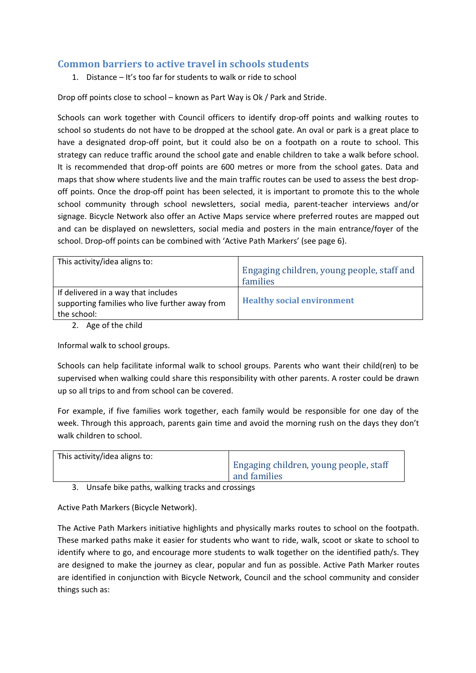## **Common barriers to active travel in schools students**

1. Distance – It's too far for students to walk or ride to school

Drop off points close to school – known as Part Way is Ok / Park and Stride.

Schools can work together with Council officers to identify drop-off points and walking routes to school so students do not have to be dropped at the school gate. An oval or park is a great place to have a designated drop-off point, but it could also be on a footpath on a route to school. This strategy can reduce traffic around the school gate and enable children to take a walk before school. It is recommended that drop-off points are 600 metres or more from the school gates. Data and maps that show where students live and the main traffic routes can be used to assess the best dropoff points. Once the drop-off point has been selected, it is important to promote this to the whole school community through school newsletters, social media, parent-teacher interviews and/or signage. Bicycle Network also offer an Active Maps service where preferred routes are mapped out and can be displayed on newsletters, social media and posters in the main entrance/foyer of the school. Drop-off points can be combined with 'Active Path Markers' (see page 6).

| This activity/idea aligns to:                                                                        | Engaging children, young people, staff and<br>families |
|------------------------------------------------------------------------------------------------------|--------------------------------------------------------|
| If delivered in a way that includes<br>supporting families who live further away from<br>the school: | <b>Healthy social environment</b>                      |
|                                                                                                      |                                                        |

2. Age of the child

Informal walk to school groups.

Schools can help facilitate informal walk to school groups. Parents who want their child(ren) to be supervised when walking could share this responsibility with other parents. A roster could be drawn up so all trips to and from school can be covered.

For example, if five families work together, each family would be responsible for one day of the week. Through this approach, parents gain time and avoid the morning rush on the days they don't walk children to school.

| This activity/idea aligns to: |                                        |
|-------------------------------|----------------------------------------|
|                               | Engaging children, young people, staff |
|                               | and families                           |

3. Unsafe bike paths, walking tracks and crossings

Active Path Markers (Bicycle Network).

The Active Path Markers initiative highlights and physically marks routes to school on the footpath. These marked paths make it easier for students who want to ride, walk, scoot or skate to school to identify where to go, and encourage more students to walk together on the identified path/s. They are designed to make the journey as clear, popular and fun as possible. Active Path Marker routes are identified in conjunction with Bicycle Network, Council and the school community and consider things such as: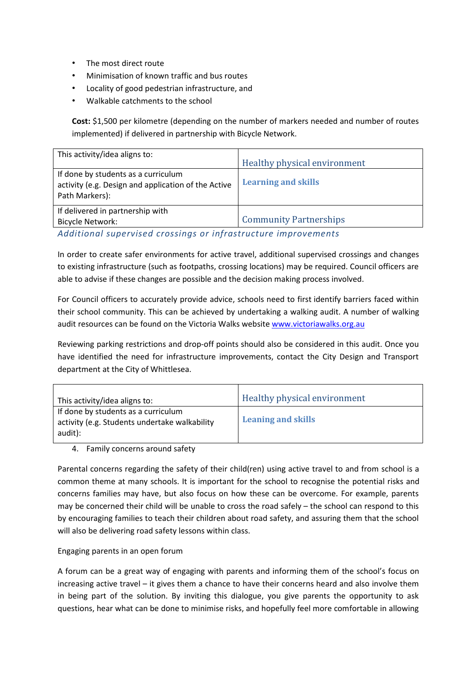- The most direct route
- Minimisation of known traffic and bus routes
- Locality of good pedestrian infrastructure, and
- Walkable catchments to the school

**Cost:** \$1,500 per kilometre (depending on the number of markers needed and number of routes implemented) if delivered in partnership with Bicycle Network.

| This activity/idea aligns to:                                                                                | Healthy physical environment  |
|--------------------------------------------------------------------------------------------------------------|-------------------------------|
| If done by students as a curriculum<br>activity (e.g. Design and application of the Active<br>Path Markers): | <b>Learning and skills</b>    |
| If delivered in partnership with<br><b>Bicycle Network:</b>                                                  | <b>Community Partnerships</b> |
| Additional cunomicod croccings or infrastructure improvements                                                |                               |

*Additional supervised crossings or infrastructure improvements* 

In order to create safer environments for active travel, additional supervised crossings and changes to existing infrastructure (such as footpaths, crossing locations) may be required. Council officers are able to advise if these changes are possible and the decision making process involved.

For Council officers to accurately provide advice, schools need to first identify barriers faced within their school community. This can be achieved by undertaking a walking audit. A number of walking audit resources can be found on the Victoria Walks website www.victoriawalks.org.au

Reviewing parking restrictions and drop-off points should also be considered in this audit. Once you have identified the need for infrastructure improvements, contact the City Design and Transport department at the City of Whittlesea.

| This activity/idea aligns to:                                                                   | <b>Healthy physical environment</b> |
|-------------------------------------------------------------------------------------------------|-------------------------------------|
| If done by students as a curriculum<br>activity (e.g. Students undertake walkability<br>audit): | <b>Leaning and skills</b>           |

4. Family concerns around safety

Parental concerns regarding the safety of their child(ren) using active travel to and from school is a common theme at many schools. It is important for the school to recognise the potential risks and concerns families may have, but also focus on how these can be overcome. For example, parents may be concerned their child will be unable to cross the road safely – the school can respond to this by encouraging families to teach their children about road safety, and assuring them that the school will also be delivering road safety lessons within class.

### Engaging parents in an open forum

A forum can be a great way of engaging with parents and informing them of the school's focus on increasing active travel – it gives them a chance to have their concerns heard and also involve them in being part of the solution. By inviting this dialogue, you give parents the opportunity to ask questions, hear what can be done to minimise risks, and hopefully feel more comfortable in allowing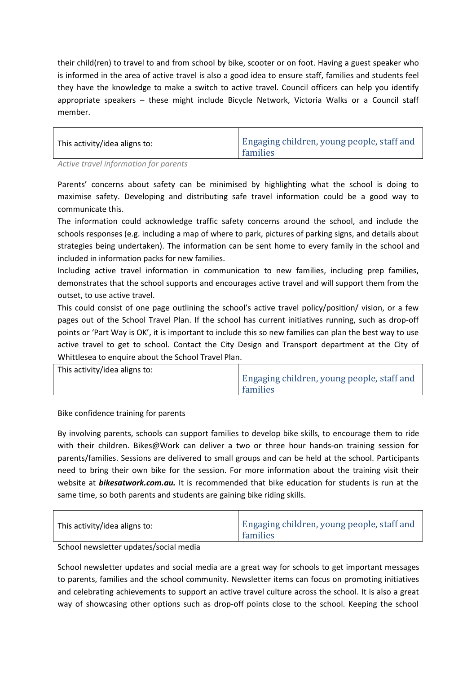their child(ren) to travel to and from school by bike, scooter or on foot. Having a guest speaker who is informed in the area of active travel is also a good idea to ensure staff, families and students feel they have the knowledge to make a switch to active travel. Council officers can help you identify appropriate speakers – these might include Bicycle Network, Victoria Walks or a Council staff member.

| Engaging children, young people, staff and<br>This activity/idea aligns to:<br>families |
|-----------------------------------------------------------------------------------------|
|-----------------------------------------------------------------------------------------|

*Active travel information for parents* 

Parents' concerns about safety can be minimised by highlighting what the school is doing to maximise safety. Developing and distributing safe travel information could be a good way to communicate this.

The information could acknowledge traffic safety concerns around the school, and include the schools responses (e.g. including a map of where to park, pictures of parking signs, and details about strategies being undertaken). The information can be sent home to every family in the school and included in information packs for new families.

Including active travel information in communication to new families, including prep families, demonstrates that the school supports and encourages active travel and will support them from the outset, to use active travel.

This could consist of one page outlining the school's active travel policy/position/ vision, or a few pages out of the School Travel Plan. If the school has current initiatives running, such as drop-off points or 'Part Way is OK', it is important to include this so new families can plan the best way to use active travel to get to school. Contact the City Design and Transport department at the City of Whittlesea to enquire about the School Travel Plan.

| This activity/idea aligns to:<br>families | Engaging children, young people, staff and |
|-------------------------------------------|--------------------------------------------|
|-------------------------------------------|--------------------------------------------|

Bike confidence training for parents

By involving parents, schools can support families to develop bike skills, to encourage them to ride with their children. Bikes@Work can deliver a two or three hour hands-on training session for parents/families. Sessions are delivered to small groups and can be held at the school. Participants need to bring their own bike for the session. For more information about the training visit their website at *bikesatwork.com.au.* It is recommended that bike education for students is run at the same time, so both parents and students are gaining bike riding skills.

| This activity/idea aligns to: | Engaging children, young people, staff and<br>families |
|-------------------------------|--------------------------------------------------------|
|                               |                                                        |

School newsletter updates/social media

School newsletter updates and social media are a great way for schools to get important messages to parents, families and the school community. Newsletter items can focus on promoting initiatives and celebrating achievements to support an active travel culture across the school. It is also a great way of showcasing other options such as drop-off points close to the school. Keeping the school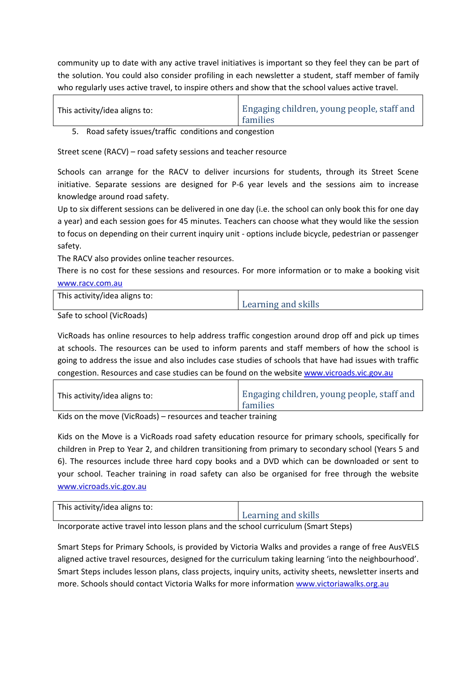community up to date with any active travel initiatives is important so they feel they can be part of the solution. You could also consider profiling in each newsletter a student, staff member of family who regularly uses active travel, to inspire others and show that the school values active travel.

| This activity/idea aligns to: | Engaging children, young people, staff and<br>families |
|-------------------------------|--------------------------------------------------------|
|                               |                                                        |

5. Road safety issues/traffic conditions and congestion

Street scene (RACV) – road safety sessions and teacher resource

Schools can arrange for the RACV to deliver incursions for students, through its Street Scene initiative. Separate sessions are designed for P-6 year levels and the sessions aim to increase knowledge around road safety.

Up to six different sessions can be delivered in one day (i.e. the school can only book this for one day a year) and each session goes for 45 minutes. Teachers can choose what they would like the session to focus on depending on their current inquiry unit - options include bicycle, pedestrian or passenger safety.

The RACV also provides online teacher resources.

There is no cost for these sessions and resources. For more information or to make a booking visit [www.racv.com.au](http://www.racv.com.au/)

| This activity/idea aligns to: |                     |
|-------------------------------|---------------------|
|                               | Learning and skills |

Safe to school (VicRoads)

VicRoads has online resources to help address traffic congestion around drop off and pick up times at schools. The resources can be used to inform parents and staff members of how the school is going to address the issue and also includes case studies of schools that have had issues with traffic congestion. Resources and case studies can be found on the website [www.vicroads.vic.gov.au](http://www.vicroads.vic.gov.au/)

| This activity/idea aligns to: | Engaging children, young people, staff and<br>families |
|-------------------------------|--------------------------------------------------------|
| .                             |                                                        |

Kids on the move (VicRoads) – resources and teacher training

Kids on the Move is a VicRoads road safety education resource for primary schools, specifically for children in Prep to Year 2, and children transitioning from primary to secondary school (Years 5 and 6). The resources include three hard copy books and a DVD which can be downloaded or sent to your school. Teacher training in road safety can also be organised for free through the website [www.vicroads.vic.gov.au](http://www.vicroads.vic.gov.au/)

| This activity/idea aligns to:<br>Learning and skills |
|------------------------------------------------------|
|                                                      |

Incorporate active travel into lesson plans and the school curriculum (Smart Steps)

Smart Steps for Primary Schools, is provided by Victoria Walks and provides a range of free AusVELS aligned active travel resources, designed for the curriculum taking learning 'into the neighbourhood'. Smart Steps includes lesson plans, class projects, inquiry units, activity sheets, newsletter inserts and more. Schools should contact Victoria Walks for more information [www.victoriawalks.org.au](http://www.victoriawalks.org.au/)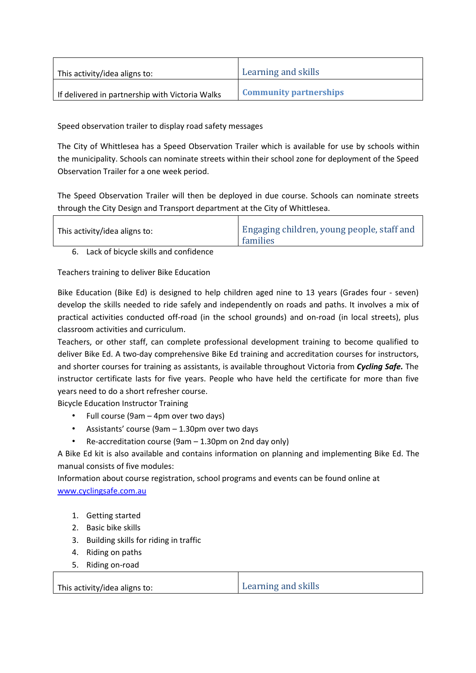| This activity/idea aligns to:                   | Learning and skills           |
|-------------------------------------------------|-------------------------------|
| If delivered in partnership with Victoria Walks | <b>Community partnerships</b> |

Speed observation trailer to display road safety messages

The City of Whittlesea has a Speed Observation Trailer which is available for use by schools within the municipality. Schools can nominate streets within their school zone for deployment of the Speed Observation Trailer for a one week period.

The Speed Observation Trailer will then be deployed in due course. Schools can nominate streets through the City Design and Transport department at the City of Whittlesea.

| Engaging children, young people, staff and<br>This activity/idea aligns to:<br>families |
|-----------------------------------------------------------------------------------------|
|-----------------------------------------------------------------------------------------|

6. Lack of bicycle skills and confidence

Teachers training to deliver Bike Education

Bike Education (Bike Ed) is designed to help children aged nine to 13 years (Grades four - seven) develop the skills needed to ride safely and independently on roads and paths. It involves a mix of practical activities conducted off-road (in the school grounds) and on-road (in local streets), plus classroom activities and curriculum.

Teachers, or other staff, can complete professional development training to become qualified to deliver Bike Ed. A two-day comprehensive Bike Ed training and accreditation courses for instructors, and shorter courses for training as assistants, is available throughout Victoria from *Cycling Safe.* The instructor certificate lasts for five years. People who have held the certificate for more than five years need to do a short refresher course.

Bicycle Education Instructor Training

- Full course (9am 4pm over two days)
- Assistants' course (9am 1.30pm over two days
- Re-accreditation course (9am 1.30pm on 2nd day only)

A Bike Ed kit is also available and contains information on planning and implementing Bike Ed. The manual consists of five modules:

Information about course registration, school programs and events can be found online at www.cyclingsafe.com.au

- 1. Getting started
- 2. Basic bike skills
- 3. Building skills for riding in traffic
- 4. Riding on paths
- 5. Riding on-road

This activity/idea aligns to: <br>
Learning and skills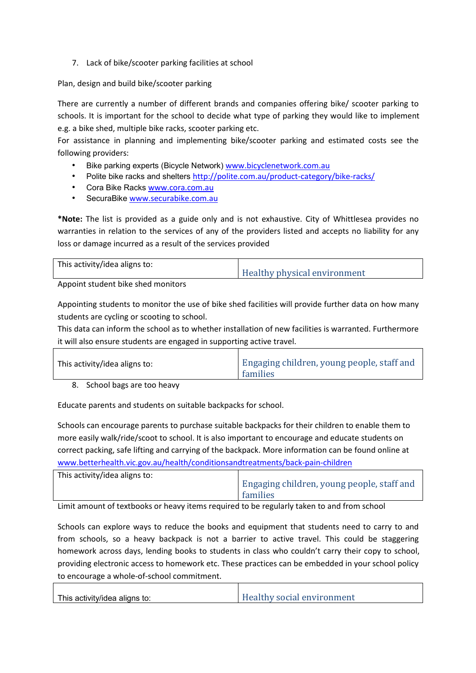7. Lack of bike/scooter parking facilities at school

Plan, design and build bike/scooter parking

There are currently a number of different brands and companies offering bike/ scooter parking to schools. It is important for the school to decide what type of parking they would like to implement e.g. a bike shed, multiple bike racks, scooter parking etc.

For assistance in planning and implementing bike/scooter parking and estimated costs see the following providers:

- Bike parking experts (Bicycle Network) www.bicyclenetwork.com.au
- Polite bike racks and shelters http://polite.com.au/product-category/bike-racks/
- Cora Bike Racks www.cora.com.au
- SecuraBike [www.securabike.com.au](http://www.securabike.com.au/)

**\*Note:** The list is provided as a guide only and is not exhaustive. City of Whittlesea provides no warranties in relation to the services of any of the providers listed and accepts no liability for any loss or damage incurred as a result of the services provided

| This activity/idea aligns to: | <b>Healthy physical environment</b> |
|-------------------------------|-------------------------------------|
|                               |                                     |

Appoint student bike shed monitors

Appointing students to monitor the use of bike shed facilities will provide further data on how many students are cycling or scooting to school.

This data can inform the school as to whether installation of new facilities is warranted. Furthermore it will also ensure students are engaged in supporting active travel.

| This activity/idea aligns to: | Engaging children, young people, staff and<br>families |
|-------------------------------|--------------------------------------------------------|
| .                             |                                                        |

8. School bags are too heavy

Educate parents and students on suitable backpacks for school.

Schools can encourage parents to purchase suitable backpacks for their children to enable them to more easily walk/ride/scoot to school. It is also important to encourage and educate students on correct packing, safe lifting and carrying of the backpack. More information can be found online at [www.betterhealth.vic.gov.au/health/conditionsandtreatments/back-pain-children](http://www.betterhealth.vic.gov.au/health/conditionsandtreatments/back-pain-children)

| This activity/idea aligns to: | Engaging children, young people, staff and<br>families |
|-------------------------------|--------------------------------------------------------|
|                               |                                                        |

Limit amount of textbooks or heavy items required to be regularly taken to and from school

Schools can explore ways to reduce the books and equipment that students need to carry to and from schools, so a heavy backpack is not a barrier to active travel. This could be staggering homework across days, lending books to students in class who couldn't carry their copy to school, providing electronic access to homework etc. These practices can be embedded in your school policy to encourage a whole-of-school commitment.

| <b>Healthy social environment</b><br>This activity/idea aligns to: |
|--------------------------------------------------------------------|
|--------------------------------------------------------------------|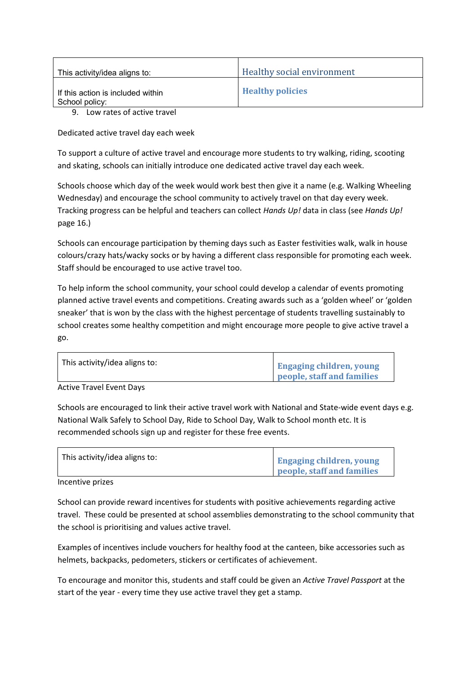| This activity/idea aligns to:                       | Healthy social environment |
|-----------------------------------------------------|----------------------------|
| If this action is included within<br>School policy: | <b>Healthy policies</b>    |
| $\alpha$ is the set of the set of $\alpha$          |                            |

9. Low rates of active travel

Dedicated active travel day each week

To support a culture of active travel and encourage more students to try walking, riding, scooting and skating, schools can initially introduce one dedicated active travel day each week.

Schools choose which day of the week would work best then give it a name (e.g. Walking Wheeling Wednesday) and encourage the school community to actively travel on that day every week. Tracking progress can be helpful and teachers can collect *Hands Up!* data in class (see *Hands Up!*  page 16.)

Schools can encourage participation by theming days such as Easter festivities walk, walk in house colours/crazy hats/wacky socks or by having a different class responsible for promoting each week. Staff should be encouraged to use active travel too.

To help inform the school community, your school could develop a calendar of events promoting planned active travel events and competitions. Creating awards such as a 'golden wheel' or 'golden sneaker' that is won by the class with the highest percentage of students travelling sustainably to school creates some healthy competition and might encourage more people to give active travel a go.

| This activity/idea aligns to: |                                 |
|-------------------------------|---------------------------------|
|                               | <b>Engaging children, young</b> |
|                               | people, staff and families      |

Active Travel Event Days

Schools are encouraged to link their active travel work with National and State-wide event days e.g. National Walk Safely to School Day, Ride to School Day, Walk to School month etc. It is recommended schools sign up and register for these free events.

| This activity/idea aligns to: | <b>Engaging children, young</b> |
|-------------------------------|---------------------------------|
|                               | people, staff and families      |

Incentive prizes

School can provide reward incentives for students with positive achievements regarding active travel. These could be presented at school assemblies demonstrating to the school community that the school is prioritising and values active travel.

Examples of incentives include vouchers for healthy food at the canteen, bike accessories such as helmets, backpacks, pedometers, stickers or certificates of achievement.

To encourage and monitor this, students and staff could be given an *Active Travel Passport* at the start of the year - every time they use active travel they get a stamp.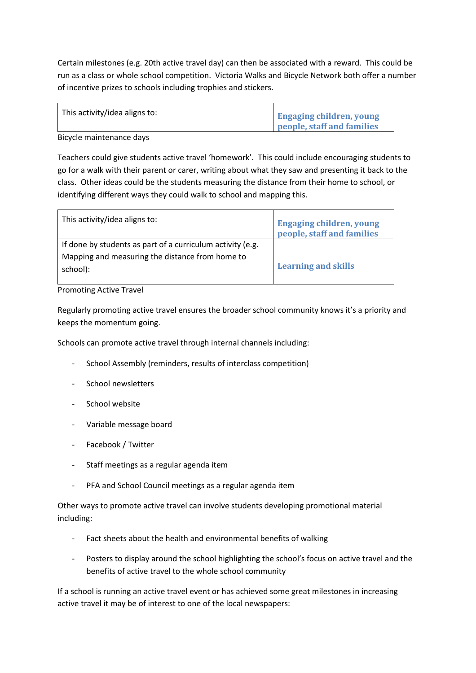Certain milestones (e.g. 20th active travel day) can then be associated with a reward. This could be run as a class or whole school competition. Victoria Walks and Bicycle Network both offer a number of incentive prizes to schools including trophies and stickers.

| This activity/idea aligns to: |                                 |
|-------------------------------|---------------------------------|
|                               | <b>Engaging children, young</b> |
|                               | people, staff and families      |

Bicycle maintenance days

Teachers could give students active travel 'homework'. This could include encouraging students to go for a walk with their parent or carer, writing about what they saw and presenting it back to the class. Other ideas could be the students measuring the distance from their home to school, or identifying different ways they could walk to school and mapping this.

| This activity/idea aligns to:                                                                                 | <b>Engaging children, young</b><br>people, staff and families |
|---------------------------------------------------------------------------------------------------------------|---------------------------------------------------------------|
| If done by students as part of a curriculum activity (e.g.<br>Mapping and measuring the distance from home to | <b>Learning and skills</b>                                    |
| school):                                                                                                      |                                                               |

### Promoting Active Travel

Regularly promoting active travel ensures the broader school community knows it's a priority and keeps the momentum going.

Schools can promote active travel through internal channels including:

- School Assembly (reminders, results of interclass competition)
- School newsletters
- School website
- Variable message board
- Facebook / Twitter
- Staff meetings as a regular agenda item
- PFA and School Council meetings as a regular agenda item

Other ways to promote active travel can involve students developing promotional material including:

- Fact sheets about the health and environmental benefits of walking
- Posters to display around the school highlighting the school's focus on active travel and the benefits of active travel to the whole school community

If a school is running an active travel event or has achieved some great milestones in increasing active travel it may be of interest to one of the local newspapers: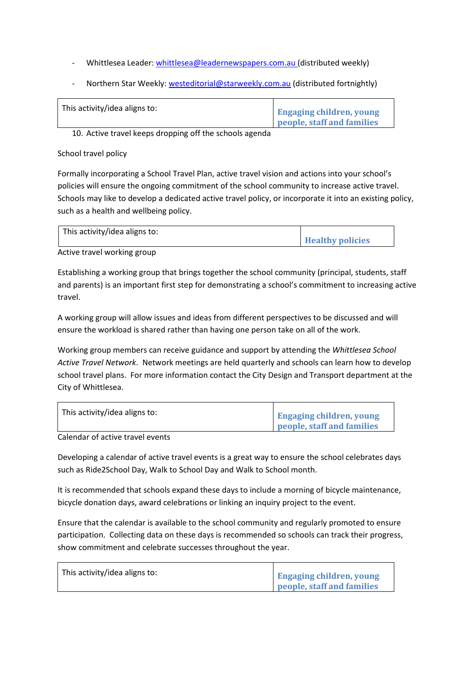- Whittlesea Leader: [whittlesea@leadernewspapers.com.au](mailto:whittlesea@leadernewspapers.com.au) (distributed weekly)
- Northern Star Weekly: [westeditorial@starweekly.com.au](mailto:westeditorial@starweekly.com.au) (distributed fortnightly)

| This activity/idea aligns to: | <b>Engaging children, young</b> |
|-------------------------------|---------------------------------|
|                               | people, staff and families      |

10. Active travel keeps dropping off the schools agenda

#### School travel policy

Formally incorporating a School Travel Plan, active travel vision and actions into your school's policies will ensure the ongoing commitment of the school community to increase active travel. Schools may like to develop a dedicated active travel policy, or incorporate it into an existing policy, such as a health and wellbeing policy.

| This activity/idea aligns to: | <b>Healthy policies</b> |
|-------------------------------|-------------------------|
|                               |                         |

Active travel working group

Establishing a working group that brings together the school community (principal, students, staff and parents) is an important first step for demonstrating a school's commitment to increasing active travel.

A working group will allow issues and ideas from different perspectives to be discussed and will ensure the workload is shared rather than having one person take on all of the work.

Working group members can receive guidance and support by attending the *Whittlesea School Active Travel Network*. Network meetings are held quarterly and schools can learn how to develop school travel plans. For more information contact the City Design and Transport department at the City of Whittlesea.

| This activity/idea aligns to: | <b>Engaging children, young</b><br>people, staff and families |
|-------------------------------|---------------------------------------------------------------|
|                               |                                                               |

Calendar of active travel events

Developing a calendar of active travel events is a great way to ensure the school celebrates days such as Ride2School Day, Walk to School Day and Walk to School month.

It is recommended that schools expand these days to include a morning of bicycle maintenance, bicycle donation days, award celebrations or linking an inquiry project to the event.

Ensure that the calendar is available to the school community and regularly promoted to ensure participation. Collecting data on these days is recommended so schools can track their progress, show commitment and celebrate successes throughout the year.

| This activity/idea aligns to: | <b>Engaging children, young</b> |
|-------------------------------|---------------------------------|
|                               | people, staff and families      |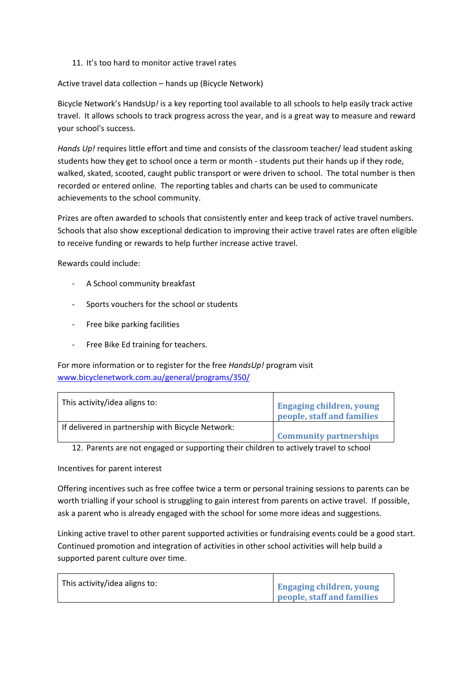11. It's too hard to monitor active travel rates

Active travel data collection – hands up (Bicycle Network)

Bicycle Network's HandsUp*!* is a key reporting tool available to all schools to help easily track active travel. It allows schools to track progress across the year, and is a great way to measure and reward your school's success.

*Hands Up!* requires little effort and time and consists of the classroom teacher/ lead student asking students how they get to school once a term or month - students put their hands up if they rode, walked, skated, scooted, caught public transport or were driven to school. The total number is then recorded or entered online. The reporting tables and charts can be used to communicate achievements to the school community.

Prizes are often awarded to schools that consistently enter and keep track of active travel numbers. Schools that also show exceptional dedication to improving their active travel rates are often eligible to receive funding or rewards to help further increase active travel.

Rewards could include:

- A School community breakfast
- Sports vouchers for the school or students
- Free bike parking facilities
- Free Bike Ed training for teachers.

For more information or to register for the free *HandsUp!* program visit [www.bicyclenetwork.com.au/general/programs/350/](http://www.bicyclenetwork.com.au/general/programs/350/)

| This activity/idea aligns to:                     | <b>Engaging children, young</b><br>people, staff and families |
|---------------------------------------------------|---------------------------------------------------------------|
| If delivered in partnership with Bicycle Network: |                                                               |
|                                                   | <b>Community partnerships</b>                                 |
|                                                   |                                                               |

12. Parents are not engaged or supporting their children to actively travel to school

Incentives for parent interest

Offering incentives such as free coffee twice a term or personal training sessions to parents can be worth trialling if your school is struggling to gain interest from parents on active travel. If possible, ask a parent who is already engaged with the school for some more ideas and suggestions.

Linking active travel to other parent supported activities or fundraising events could be a good start. Continued promotion and integration of activities in other school activities will help build a supported parent culture over time.

| This activity/idea aligns to: | <b>Engaging children, young</b> |
|-------------------------------|---------------------------------|
|                               | people, staff and families      |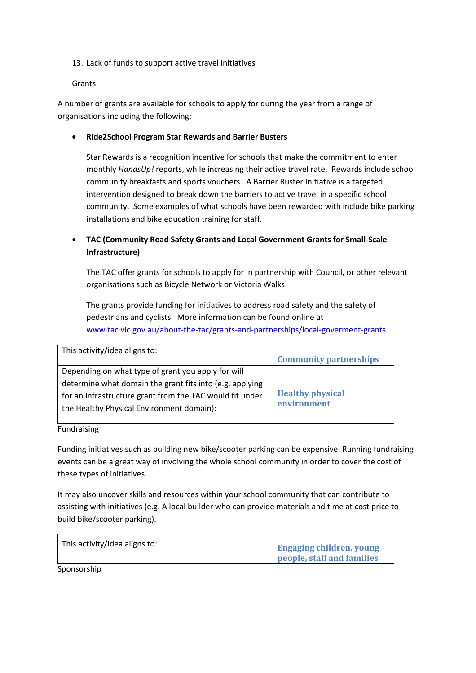13. Lack of funds to support active travel initiatives

Grants

A number of grants are available for schools to apply for during the year from a range of organisations including the following:

· **Ride2School Program Star Rewards and Barrier Busters**

Star Rewards is a recognition incentive for schools that make the commitment to enter monthly *HandsUp!* reports, while increasing their active travel rate. Rewards include school community breakfasts and sports vouchers. A Barrier Buster Initiative is a targeted intervention designed to break down the barriers to active travel in a specific school community. Some examples of what schools have been rewarded with include bike parking installations and bike education training for staff.

## · **TAC (Community Road Safety Grants and Local Government Grants for Small-Scale Infrastructure)**

The TAC offer grants for schools to apply for in partnership with Council, or other relevant organisations such as Bicycle Network or Victoria Walks.

The grants provide funding for initiatives to address road safety and the safety of pedestrians and cyclists. More information can be found online at [www.tac.vic.gov.au/about-the-tac/grants-and-partnerships/local-goverment-grants](http://www.tac.vic.gov.au/about-the-tac/grants-and-partnerships/local-goverment-grants).

| This activity/idea aligns to:                            | <b>Community partnerships</b> |
|----------------------------------------------------------|-------------------------------|
| Depending on what type of grant you apply for will       |                               |
| determine what domain the grant fits into (e.g. applying |                               |
| for an Infrastructure grant from the TAC would fit under | <b>Healthy physical</b>       |
| the Healthy Physical Environment domain):                | environment                   |
|                                                          |                               |

Fundraising

Funding initiatives such as building new bike/scooter parking can be expensive. Running fundraising events can be a great way of involving the whole school community in order to cover the cost of these types of initiatives.

It may also uncover skills and resources within your school community that can contribute to assisting with initiatives (e.g. A local builder who can provide materials and time at cost price to build bike/scooter parking).

| This activity/idea aligns to: | <b>Engaging children, young</b><br>people, staff and families |
|-------------------------------|---------------------------------------------------------------|
|                               |                                                               |

Sponsorship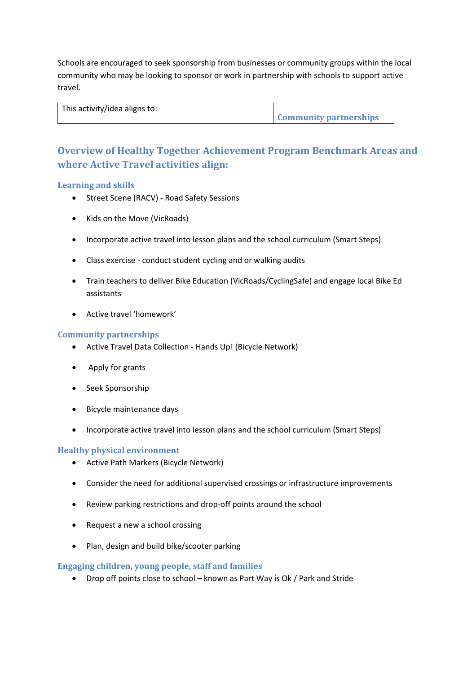Schools are encouraged to seek sponsorship from businesses or community groups within the local community who may be looking to sponsor or work in partnership with schools to support active travel.

| This activity/idea aligns to: |                               |
|-------------------------------|-------------------------------|
|                               | <b>Community partnerships</b> |

## **Overview of Healthy Together Achievement Program Benchmark Areas and where Active Travel activities align:**

### **Learning and skills**

- · Street Scene (RACV) Road Safety Sessions
- · Kids on the Move (VicRoads)
- · Incorporate active travel into lesson plans and the school curriculum (Smart Steps)
- · Class exercise conduct student cycling and or walking audits
- · Train teachers to deliver Bike Education (VicRoads/CyclingSafe) and engage local Bike Ed assistants
- · Active travel 'homework'

### **Community partnerships**

- · Active Travel Data Collection Hands Up! (Bicycle Network)
- Apply for grants
- · Seek Sponsorship
- · Bicycle maintenance days
- · Incorporate active travel into lesson plans and the school curriculum (Smart Steps)

### **Healthy physical environment**

- · Active Path Markers (Bicycle Network)
- · Consider the need for additional supervised crossings or infrastructure improvements
- · Review parking restrictions and drop-off points around the school
- · Request a new a school crossing
- · Plan, design and build bike/scooter parking

### **Engaging children, young people, staff and families**

· Drop off points close to school – known as Part Way is Ok / Park and Stride